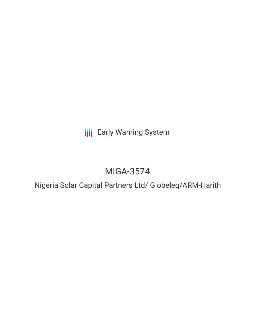**III** Early Warning System

# MIGA-3574

Nigeria Solar Capital Partners Ltd/ Globeleq/ARM-Harith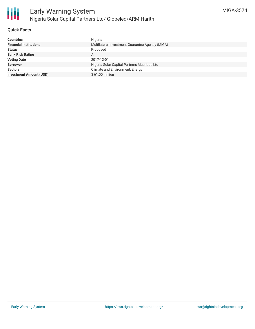

# **Quick Facts**

| Nigeria                                         |
|-------------------------------------------------|
| Multilateral Investment Guarantee Agency (MIGA) |
| Proposed                                        |
| A                                               |
| 2017-12-01                                      |
| Nigeria Solar Capital Partners Mauritius Ltd    |
| Climate and Environment, Energy                 |
| \$61.00 million                                 |
|                                                 |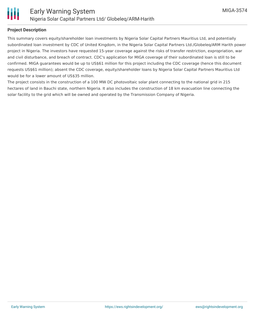

## **Project Description**

This summary covers equity/shareholder loan investments by Nigeria Solar Capital Partners Mauritius Ltd, and potentially subordinated loan investment by CDC of United Kingdom, in the Nigeria Solar Capital Partners Ltd./Globeleq/ARM Harith power project in Nigeria. The investors have requested 15-year coverage against the risks of transfer restriction, expropriation, war and civil disturbance, and breach of contract. CDC's application for MIGA coverage of their subordinated loan is still to be confirmed. MIGA guarantees would be up to US\$61 million for this project including the CDC coverage (hence this document requests US\$61 million); absent the CDC coverage, equity/shareholder loans by Nigeria Solar Capital Partners Mauritius Ltd would be for a lower amount of US\$35 million.

The project consists in the construction of a 100 MW DC photovoltaic solar plant connecting to the national grid in 215 hectares of land in Bauchi state, northern Nigeria. It also includes the construction of 18 km evacuation line connecting the solar facility to the grid which will be owned and operated by the Transmission Company of Nigeria.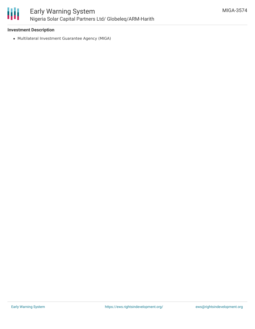

## **Investment Description**

Multilateral Investment Guarantee Agency (MIGA)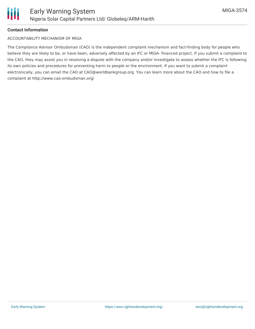

## **Contact Information**

#### ACCOUNTABILITY MECHANISM OF MIGA

The Compliance Advisor Ombudsman (CAO) is the independent complaint mechanism and fact-finding body for people who believe they are likely to be, or have been, adversely affected by an IFC or MIGA- financed project. If you submit a complaint to the CAO, they may assist you in resolving a dispute with the company and/or investigate to assess whether the IFC is following its own policies and procedures for preventing harm to people or the environment. If you want to submit a complaint electronically, you can email the CAO at CAO@worldbankgroup.org. You can learn more about the CAO and how to file a complaint at http://www.cao-ombudsman.org/